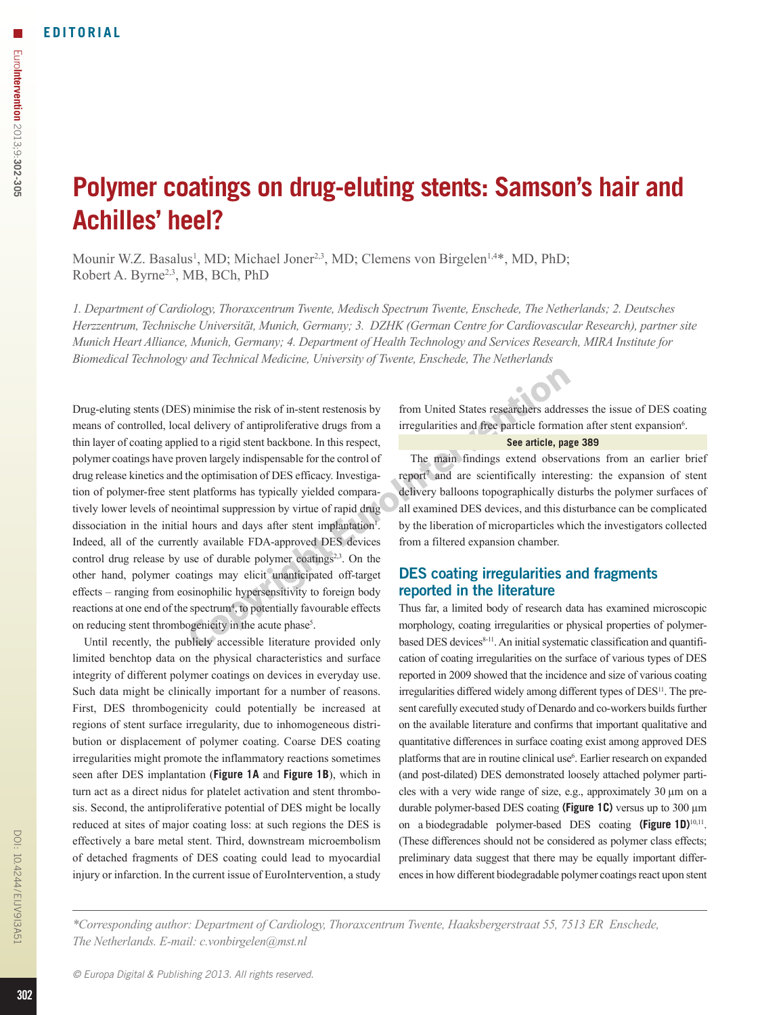# **Polymer coatings on drug-eluting stents: Samson's hair and Achilles' heel?**

Mounir W.Z. Basalus<sup>1</sup>, MD; Michael Joner<sup>2,3</sup>, MD; Clemens von Birgelen<sup>1,4\*</sup>, MD, PhD; Robert A. Byrne<sup>2,3</sup>, MB, BCh, PhD

*1. Department of Cardiology, Thoraxcentrum Twente, Medisch Spectrum Twente, Enschede, The Netherlands; 2. Deutsches Herzzentrum, Technische Universität, Munich, Germany; 3. DZHK (German Centre for Cardiovascular Research), partner site Munich Heart Alliance, Munich, Germany; 4. Department of Health Technology and Services Research, MIRA Institute for Biomedical Technology and Technical Medicine, University of Twente, Enschede, The Netherlands*

Drug-eluting stents (DES) minimise the risk of in-stent restenosis by means of controlled, local delivery of antiproliferative drugs from a thin layer of coating applied to a rigid stent backbone. In this respect, polymer coatings have proven largely indispensable for the control of drug release kinetics and the optimisation of DES efficacy. Investigation of polymer-free stent platforms has typically yielded comparatively lower levels of neointimal suppression by virtue of rapid drug dissociation in the initial hours and days after stent implantation<sup>1</sup>. Indeed, all of the currently available FDA-approved DES devices control drug release by use of durable polymer coatings $2<sup>3</sup>$ . On the other hand, polymer coatings may elicit unanticipated off-target effects – ranging from eosinophilic hypersensitivity to foreign body reactions at one end of the spectrum<sup>4</sup>, to potentially favourable effects on reducing stent thrombogenicity in the acute phase<sup>5</sup>.

Until recently, the publicly accessible literature provided only limited benchtop data on the physical characteristics and surface integrity of different polymer coatings on devices in everyday use. Such data might be clinically important for a number of reasons. First, DES thrombogenicity could potentially be increased at regions of stent surface irregularity, due to inhomogeneous distribution or displacement of polymer coating. Coarse DES coating irregularities might promote the inflammatory reactions sometimes seen after DES implantation (**Figure 1A** and **Figure 1B**), which in turn act as a direct nidus for platelet activation and stent thrombosis. Second, the antiproliferative potential of DES might be locally reduced at sites of major coating loss: at such regions the DES is effectively a bare metal stent. Third, downstream microembolism of detached fragments of DES coating could lead to myocardial injury or infarction. In the current issue of EuroIntervention, a study from United States researchers addresses the issue of DES coating irregularities and free particle formation after stent expansion<sup>6</sup>.

#### **See article, page 389**

The main findings extend observations from an earlier brief report<sup>7</sup> and are scientifically interesting: the expansion of stent delivery balloons topographically disturbs the polymer surfaces of all examined DES devices, and this disturbance can be complicated by the liberation of microparticles which the investigators collected from a filtered expansion chamber.

# DES coating irregularities and fragments reported in the literature

Thus far, a limited body of research data has examined microscopic morphology, coating irregularities or physical properties of polymerbased DES devices<sup>8-11</sup>. An initial systematic classification and quantification of coating irregularities on the surface of various types of DES reported in 2009 showed that the incidence and size of various coating irregularities differed widely among different types of DES<sup>11</sup>. The present carefully executed study of Denardo and co-workers builds further on the available literature and confirms that important qualitative and quantitative differences in surface coating exist among approved DES platforms that are in routine clinical use<sup>6</sup>. Earlier research on expanded (and post-dilated) DES demonstrated loosely attached polymer particles with a very wide range of size, e.g., approximately 30 µm on a durable polymer-based DES coating **(Figure 1C)** versus up to 300 µm on a biodegradable polymer-based DES coating **(Figure 1D)**10,11. (These differences should not be considered as polymer class effects; preliminary data suggest that there may be equally important differences in how different biodegradable polymer coatings react upon stent

*\*Corresponding author: Department of Cardiology, Thoraxcentrum Twente, Haaksbergerstraat 55, 7513 ER Enschede, The Netherlands. E-mail: c.vonbirgelen@mst.nl*

DOI: 10.4244/EIJV9I3A51

DOI: 10.4244/EIJV9I3A5.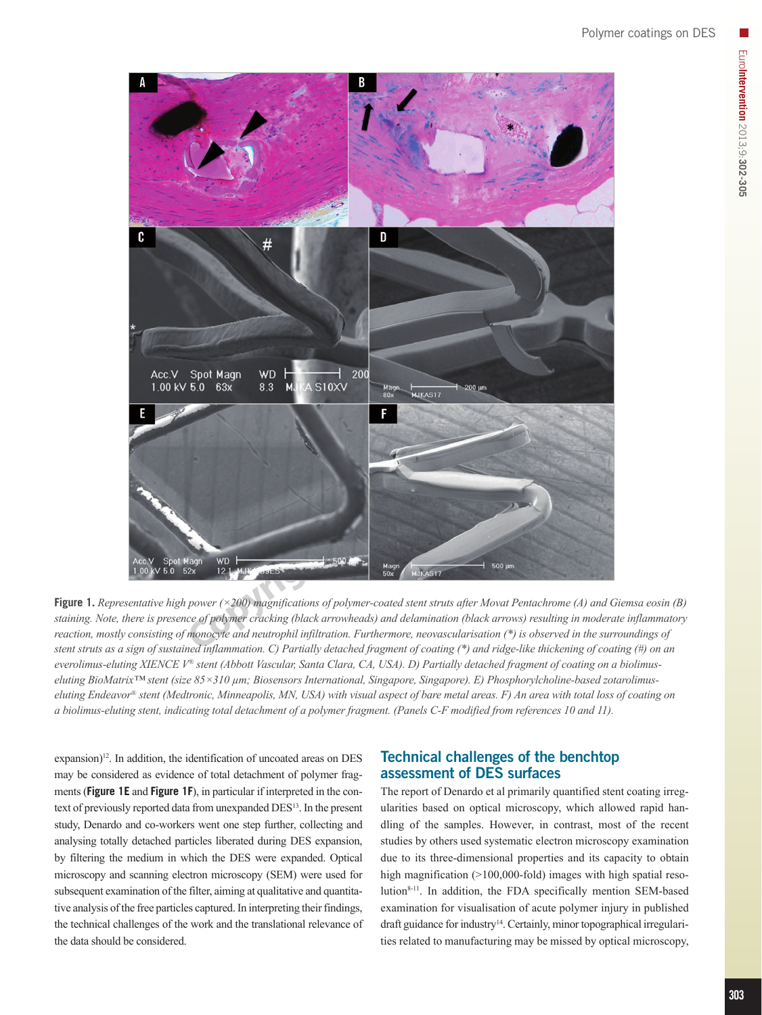

**Figure 1.** *Representative high power (×200) magnifications of polymer-coated stent struts after Movat Pentachrome (A) and Giemsa eosin (B) staining. Note, there is presence of polymer cracking (black arrowheads) and delamination (black arrows) resulting in moderate inflammatory reaction, mostly consisting of monocyte and neutrophil infiltration. Furthermore, neovascularisation (\*) is observed in the surroundings of stent struts as a sign of sustained inflammation. C) Partially detached fragment of coating (\*) and ridge-like thickening of coating (#) on an everolimus-eluting XIENCE V® stent (Abbott Vascular, Santa Clara, CA, USA). D) Partially detached fragment of coating on a biolimuseluting BioMatrix™ stent (size 85×310 µm; Biosensors International, Singapore, Singapore). E) Phosphorylcholine-based zotarolimuseluting Endeavor® stent (Medtronic, Minneapolis, MN, USA) with visual aspect of bare metal areas. F) An area with total loss of coating on a biolimus-eluting stent, indicating total detachment of a polymer fragment. (Panels C-F modified from references 10 and 11).*

expansion) $12$ . In addition, the identification of uncoated areas on DES may be considered as evidence of total detachment of polymer fragments (**Figure 1E** and **Figure 1F**), in particular if interpreted in the context of previously reported data from unexpanded DES13. In the present study, Denardo and co-workers went one step further, collecting and analysing totally detached particles liberated during DES expansion, by filtering the medium in which the DES were expanded. Optical microscopy and scanning electron microscopy (SEM) were used for subsequent examination of the filter, aiming at qualitative and quantitative analysis of the free particles captured. In interpreting their findings, the technical challenges of the work and the translational relevance of the data should be considered.

## Technical challenges of the benchtop assessment of DES surfaces

The report of Denardo et al primarily quantified stent coating irregularities based on optical microscopy, which allowed rapid handling of the samples. However, in contrast, most of the recent studies by others used systematic electron microscopy examination due to its three-dimensional properties and its capacity to obtain high magnification (>100,000-fold) images with high spatial resolution<sup>8-11</sup>. In addition, the FDA specifically mention SEM-based examination for visualisation of acute polymer injury in published draft guidance for industry<sup>14</sup>. Certainly, minor topographical irregularities related to manufacturing may be missed by optical microscopy,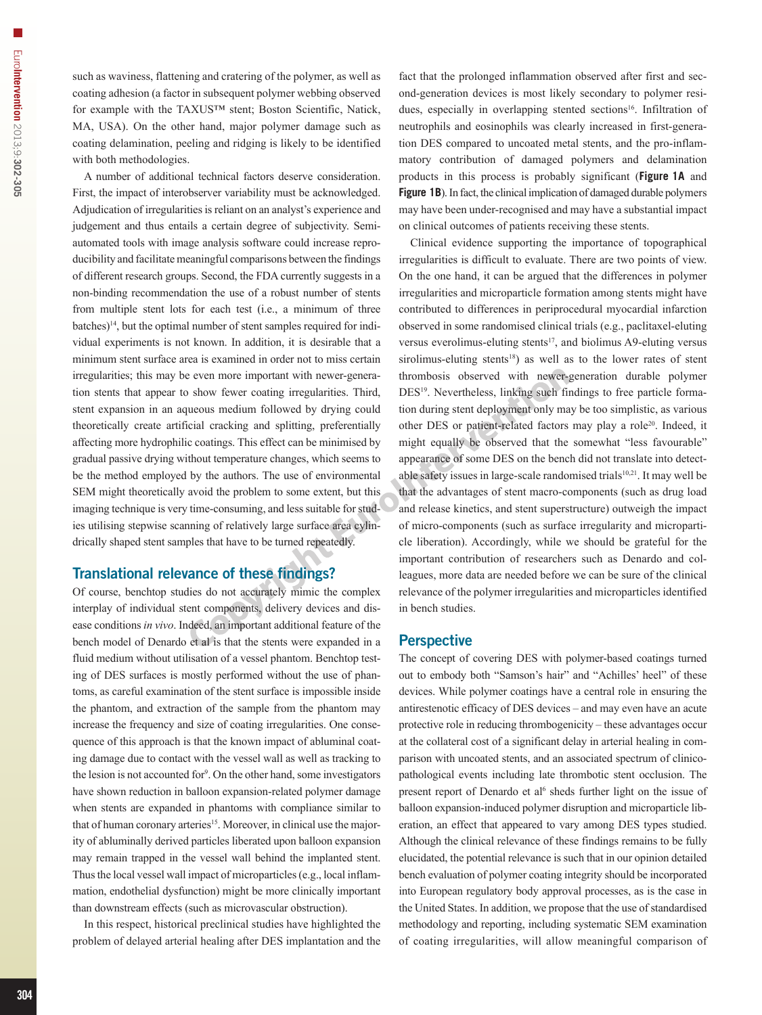such as waviness, flattening and cratering of the polymer, as well as coating adhesion (a factor in subsequent polymer webbing observed for example with the TAXUS™ stent; Boston Scientific, Natick, MA, USA). On the other hand, major polymer damage such as coating delamination, peeling and ridging is likely to be identified with both methodologies.

A number of additional technical factors deserve consideration. First, the impact of interobserver variability must be acknowledged. Adjudication of irregularities is reliant on an analyst's experience and judgement and thus entails a certain degree of subjectivity. Semiautomated tools with image analysis software could increase reproducibility and facilitate meaningful comparisons between the findings of different research groups. Second, the FDA currently suggests in a non-binding recommendation the use of a robust number of stents from multiple stent lots for each test (i.e., a minimum of three batches)<sup>14</sup>, but the optimal number of stent samples required for individual experiments is not known. In addition, it is desirable that a minimum stent surface area is examined in order not to miss certain irregularities; this may be even more important with newer-generation stents that appear to show fewer coating irregularities. Third, stent expansion in an aqueous medium followed by drying could theoretically create artificial cracking and splitting, preferentially affecting more hydrophilic coatings. This effect can be minimised by gradual passive drying without temperature changes, which seems to be the method employed by the authors. The use of environmental SEM might theoretically avoid the problem to some extent, but this imaging technique is very time-consuming, and less suitable for studies utilising stepwise scanning of relatively large surface area cylindrically shaped stent samples that have to be turned repeatedly.

## Translational relevance of these findings?

Of course, benchtop studies do not accurately mimic the complex interplay of individual stent components, delivery devices and disease conditions *in vivo*. Indeed, an important additional feature of the bench model of Denardo et al is that the stents were expanded in a fluid medium without utilisation of a vessel phantom. Benchtop testing of DES surfaces is mostly performed without the use of phantoms, as careful examination of the stent surface is impossible inside the phantom, and extraction of the sample from the phantom may increase the frequency and size of coating irregularities. One consequence of this approach is that the known impact of abluminal coating damage due to contact with the vessel wall as well as tracking to the lesion is not accounted for<sup>9</sup>. On the other hand, some investigators have shown reduction in balloon expansion-related polymer damage when stents are expanded in phantoms with compliance similar to that of human coronary arteries<sup>15</sup>. Moreover, in clinical use the majority of abluminally derived particles liberated upon balloon expansion may remain trapped in the vessel wall behind the implanted stent. Thus the local vessel wall impact of microparticles (e.g., local inflammation, endothelial dysfunction) might be more clinically important than downstream effects (such as microvascular obstruction).

In this respect, historical preclinical studies have highlighted the problem of delayed arterial healing after DES implantation and the fact that the prolonged inflammation observed after first and second-generation devices is most likely secondary to polymer residues, especially in overlapping stented sections<sup>16</sup>. Infiltration of neutrophils and eosinophils was clearly increased in first-generation DES compared to uncoated metal stents, and the pro-inflammatory contribution of damaged polymers and delamination products in this process is probably significant (**Figure 1A** and **Figure 1B**). In fact, the clinical implication of damaged durable polymers may have been under-recognised and may have a substantial impact on clinical outcomes of patients receiving these stents.

Clinical evidence supporting the importance of topographical irregularities is difficult to evaluate. There are two points of view. On the one hand, it can be argued that the differences in polymer irregularities and microparticle formation among stents might have contributed to differences in periprocedural myocardial infarction observed in some randomised clinical trials (e.g., paclitaxel-eluting versus everolimus-eluting stents<sup>17</sup>, and biolimus A9-eluting versus sirolimus-eluting stents<sup>18</sup>) as well as to the lower rates of stent thrombosis observed with newer-generation durable polymer DES<sup>19</sup>. Nevertheless, linking such findings to free particle formation during stent deployment only may be too simplistic, as various other DES or patient-related factors may play a role20. Indeed, it might equally be observed that the somewhat "less favourable" appearance of some DES on the bench did not translate into detectable safety issues in large-scale randomised trials<sup>10,21</sup>. It may well be that the advantages of stent macro-components (such as drug load and release kinetics, and stent superstructure) outweigh the impact of micro-components (such as surface irregularity and microparticle liberation). Accordingly, while we should be grateful for the important contribution of researchers such as Denardo and colleagues, more data are needed before we can be sure of the clinical relevance of the polymer irregularities and microparticles identified in bench studies.

### **Perspective**

The concept of covering DES with polymer-based coatings turned out to embody both "Samson's hair" and "Achilles' heel" of these devices. While polymer coatings have a central role in ensuring the antirestenotic efficacy of DES devices – and may even have an acute protective role in reducing thrombogenicity – these advantages occur at the collateral cost of a significant delay in arterial healing in comparison with uncoated stents, and an associated spectrum of clinicopathological events including late thrombotic stent occlusion. The present report of Denardo et al<sup>6</sup> sheds further light on the issue of balloon expansion-induced polymer disruption and microparticle liberation, an effect that appeared to vary among DES types studied. Although the clinical relevance of these findings remains to be fully elucidated, the potential relevance is such that in our opinion detailed bench evaluation of polymer coating integrity should be incorporated into European regulatory body approval processes, as is the case in the United States. In addition, we propose that the use of standardised methodology and reporting, including systematic SEM examination of coating irregularities, will allow meaningful comparison of